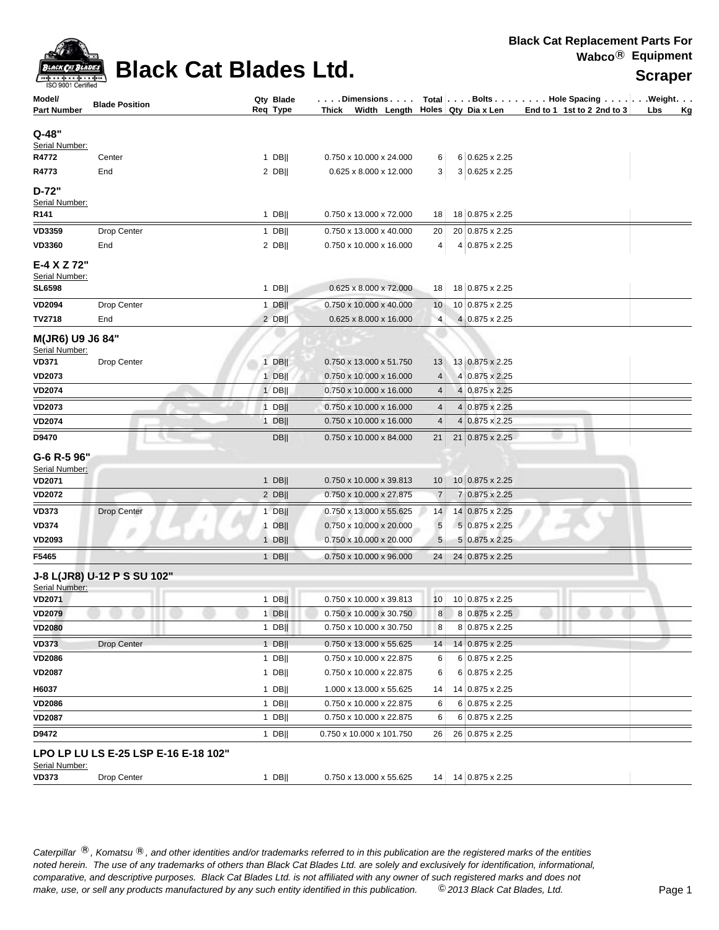

## **Black Cat Blades Ltd.**

| Model/                             | <b>Blade Position</b>                | Qty Blade<br>Req Type | $\ldots$ . Dimensions $\ldots$ .    |                 | Thick Width Length Holes Qty Dia x Len | Total   Bolts   Hole Spacing   Weight.<br>End to 1 1st to 2 2nd to 3 | Lbs |           |
|------------------------------------|--------------------------------------|-----------------------|-------------------------------------|-----------------|----------------------------------------|----------------------------------------------------------------------|-----|-----------|
| <b>Part Number</b>                 |                                      |                       |                                     |                 |                                        |                                                                      |     | <u>Kg</u> |
| Q-48"                              |                                      |                       |                                     |                 |                                        |                                                                      |     |           |
| Serial Number:<br>R4772            | Center                               | $1$ DB                | 0.750 x 10.000 x 24.000             | 6               | 6 0.625 x 2.25                         |                                                                      |     |           |
| R4773                              | End                                  | 2 DB                  | 0.625 x 8.000 x 12.000              | 3               | 3 0.625 x 2.25                         |                                                                      |     |           |
|                                    |                                      |                       |                                     |                 |                                        |                                                                      |     |           |
| $D-72"$<br>Serial Number:          |                                      |                       |                                     |                 |                                        |                                                                      |     |           |
| R141                               |                                      | $1$ DB                | 0.750 x 13.000 x 72.000             | 18              | 18 0.875 x 2.25                        |                                                                      |     |           |
| VD3359                             | Drop Center                          | $1$ DB                | 0.750 x 13.000 x 40.000             | 20              | 20 0.875 x 2.25                        |                                                                      |     |           |
| <b>VD3360</b>                      | End                                  | $2$ DB                | 0.750 x 10.000 x 16.000             | 4               | 4 0.875 x 2.25                         |                                                                      |     |           |
| E-4 X Z 72"                        |                                      |                       |                                     |                 |                                        |                                                                      |     |           |
| Serial Number:                     |                                      |                       |                                     |                 |                                        |                                                                      |     |           |
| <b>SL6598</b>                      |                                      | 1 DB                  | 0.625 x 8.000 x 72.000              | 18 <sup>1</sup> | 18 0.875 x 2.25                        |                                                                      |     |           |
| <b>VD2094</b>                      | Drop Center                          | $1$ DB                | 0.750 x 10.000 x 40.000             | 10              | 10 0.875 x 2.25                        |                                                                      |     |           |
| <b>TV2718</b>                      | End                                  | $2$ DB                | 0.625 x 8.000 x 16.000              | $\overline{4}$  | 4 0.875 x 2.25                         |                                                                      |     |           |
| M(JR6) U9 J6 84"<br>Serial Number: |                                      |                       |                                     |                 |                                        |                                                                      |     |           |
| <b>VD371</b>                       | Drop Center                          | $1$ DB                | 0.750 x 13.000 x 51.750             | 13              | 13 0.875 x 2.25                        |                                                                      |     |           |
| <b>VD2073</b>                      |                                      | $1$ DB                | 0.750 x 10.000 x 16.000             | 4               | 4 0.875 x 2.25                         |                                                                      |     |           |
| <b>VD2074</b>                      |                                      | $1$ DB                | 0.750 x 10.000 x 16.000             | 4               | 4 0.875 x 2.25                         |                                                                      |     |           |
| <b>VD2073</b>                      |                                      | $1$ DB                | 0.750 x 10.000 x 16.000             | 4               | 4 0.875 x 2.25                         |                                                                      |     |           |
| <b>VD2074</b>                      |                                      | $1$ DB                | 0.750 x 10.000 x 16.000             | $\overline{4}$  | 4 0.875 x 2.25                         |                                                                      |     |           |
| D9470                              |                                      | <b>DBII</b>           | 0.750 x 10.000 x 84.000             | 21              | 21 0.875 x 2.25                        |                                                                      |     |           |
| G-6 R-5 96"                        |                                      |                       |                                     |                 |                                        |                                                                      |     |           |
| Serial Number:                     |                                      |                       |                                     |                 |                                        |                                                                      |     |           |
| <b>VD2071</b>                      |                                      | $1$ DB                | 0.750 x 10.000 x 39.813             | 10 <sup>°</sup> | 10 0.875 x 2.25                        |                                                                      |     |           |
| <b>VD2072</b>                      |                                      | $2$ DB                | 0.750 x 10.000 x 27.875             | $\overline{7}$  | 7 0.875 x 2.25                         |                                                                      |     |           |
| <b>VD373</b>                       | <b>Drop Center</b>                   | $1$ DB                | 0.750 x 13.000 x 55.625             | 14              | 14 0.875 x 2.25                        |                                                                      |     |           |
| <b>VD374</b>                       |                                      | $1$ DB                | 0.750 x 10.000 x 20.000             | 5               | 5 0.875 x 2.25                         |                                                                      |     |           |
| VD2093                             |                                      | $1$ DB                | 0.750 x 10.000 x 20.000             | 5               | 5 0.875 x 2.25                         |                                                                      |     |           |
| F5465                              |                                      | $1$ DB                | 0.750 x 10.000 x 96.000             | 24              | 24 0.875 x 2.25                        |                                                                      |     |           |
| Serial Number:                     | J-8 L(JR8) U-12 P S SU 102"          |                       |                                     |                 |                                        |                                                                      |     |           |
| <b>VD2071</b>                      |                                      | $1$ DB                | 0.750 x 10.000 x 39.813             | 10              | 10 0.875 x 2.25                        |                                                                      |     |           |
| <b>VD2079</b>                      |                                      | $1$ DB                | 0.750 x 10.000 x 30.750             | $\bf{8}$        | 8 0.875 x 2.25                         |                                                                      |     |           |
| <b>VD2080</b>                      |                                      | 1 DB                  | 0.750 x 10.000 x 30.750             | 8               | 8 0.875 x 2.25                         |                                                                      |     |           |
| VD373                              | Drop Center                          | $1$ DB                | 0.750 x 13.000 x 55.625             | 14              | 14 0.875 x 2.25                        |                                                                      |     |           |
| <b>VD2086</b>                      |                                      | 1 DB                  | 0.750 x 10.000 x 22.875             | 6               | 6 0.875 x 2.25                         |                                                                      |     |           |
| <b>VD2087</b>                      |                                      | $1$ DB                | 0.750 x 10.000 x 22.875             | 6               | 6 0.875 x 2.25                         |                                                                      |     |           |
| H6037                              |                                      | 1 DB                  | 1.000 x 13.000 x 55.625             | 14              | 14 0.875 x 2.25                        |                                                                      |     |           |
| <b>VD2086</b>                      |                                      | $1$ DB                | 0.750 x 10.000 x 22.875             | 6               | 6 0.875 x 2.25                         |                                                                      |     |           |
| VD2087                             |                                      | $1$ DB                | 0.750 x 10.000 x 22.875             | 6               | 6 0.875 x 2.25                         |                                                                      |     |           |
| D9472                              |                                      | 1 DB                  | 0.750 x 10.000 x 101.750            | 26              | 26 0.875 x 2.25                        |                                                                      |     |           |
| Serial Number:                     | LPO LP LU LS E-25 LSP E-16 E-18 102" |                       |                                     |                 |                                        |                                                                      |     |           |
| <b>VD373</b>                       | Drop Center                          | $1$ DB                | $0.750 \times 13.000 \times 55.625$ |                 | 14 14 0.875 x 2.25                     |                                                                      |     |           |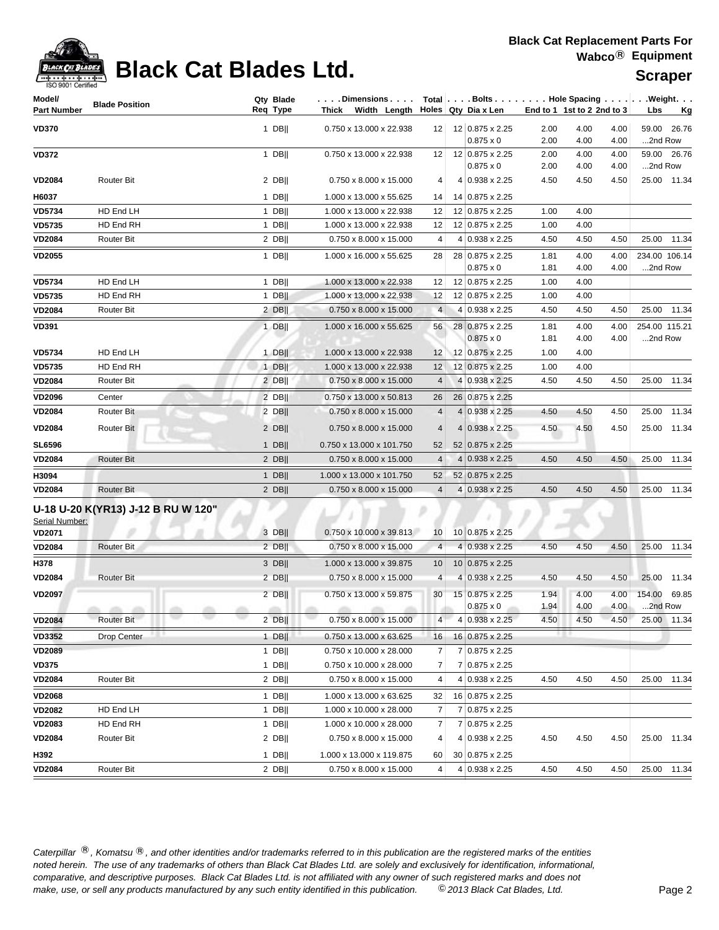| ack Cat |
|---------|
|         |

# **Black Cat Blades Ltd. Supplier Reserve All Article**

| Model/             |                                    | Qty Blade | $\ldots$ Dimensions $\ldots$           |                 | Total   Bolts   Hole Spacing   Weight. |                            |              |              |                   |             |
|--------------------|------------------------------------|-----------|----------------------------------------|-----------------|----------------------------------------|----------------------------|--------------|--------------|-------------------|-------------|
| <b>Part Number</b> | <b>Blade Position</b>              | Reg Type  | Thick Width Length Holes Qty Dia x Len |                 |                                        | End to 1 1st to 2 2nd to 3 |              |              | Lbs               | <u>Kg</u>   |
| <b>VD370</b>       |                                    | 1 DB $  $ | 0.750 x 13.000 x 22.938                |                 | $12$ 12 0.875 x 2.25                   | 2.00                       | 4.00         | 4.00         |                   | 59.00 26.76 |
|                    |                                    |           |                                        |                 | $0.875 \times 0$                       | 2.00                       | 4.00         | 4.00         | 2nd Row           |             |
| <b>VD372</b>       |                                    | $1$ DB    | 0.750 x 13.000 x 22.938                | 12              | 12 0.875 x 2.25<br>$0.875 \times 0$    | 2.00<br>2.00               | 4.00<br>4.00 | 4.00<br>4.00 | 2nd Row           | 59.00 26.76 |
| <b>VD2084</b>      | Router Bit                         | $2$ DB    | 0.750 x 8.000 x 15.000                 | 4               | 4 0.938 x 2.25                         | 4.50                       | 4.50         | 4.50         |                   | 25.00 11.34 |
| H6037              |                                    | $1$ DB    | 1.000 x 13.000 x 55.625                | 14              | 14 0.875 x 2.25                        |                            |              |              |                   |             |
| VD5734             | HD End LH                          | $1$ DB    | 1.000 x 13.000 x 22.938                | 12              | 12 0.875 x 2.25                        | 1.00                       | 4.00         |              |                   |             |
| <b>VD5735</b>      | HD End RH                          | $1$ DB    | 1.000 x 13.000 x 22.938                | 12              | 12 0.875 x 2.25                        | 1.00                       | 4.00         |              |                   |             |
| <b>VD2084</b>      | Router Bit                         | $2$ DB    | $0.750 \times 8.000 \times 15.000$     | 4               | 4 0.938 x 2.25                         | 4.50                       | 4.50         | 4.50         |                   | 25.00 11.34 |
| <b>VD2055</b>      |                                    | $1$ DB    | 1.000 x 16.000 x 55.625                | 28              | 28 0.875 x 2.25                        | 1.81                       | 4.00         | 4.00         | 234.00 106.14     |             |
|                    |                                    |           |                                        |                 | $0.875 \times 0$                       | 1.81                       | 4.00         | 4.00         | 2nd Row           |             |
| <b>VD5734</b>      | HD End LH                          | $1$ DB    | 1.000 x 13.000 x 22.938                | 12              | 12 0.875 x 2.25                        | 1.00                       | 4.00         |              |                   |             |
| <b>VD5735</b>      | HD End RH                          | $1$ DB    | 1.000 x 13.000 x 22.938                | 12              | 12 0.875 x 2.25                        | 1.00                       | 4.00         |              |                   |             |
| <b>VD2084</b>      | Router Bit                         | $2$ DB    | $0.750 \times 8.000 \times 15.000$     | $\overline{4}$  | 4 0.938 x 2.25                         | 4.50                       | 4.50         | 4.50         |                   | 25.00 11.34 |
| <b>VD391</b>       |                                    | $1$ DB    | 1.000 x 16.000 x 55.625                | 56              | 28 0.875 x 2.25                        | 1.81                       | 4.00         | 4.00         | 254.00 115.21     |             |
|                    |                                    |           |                                        |                 | $0.875 \times 0$                       | 1.81                       | 4.00         | 4.00         | 2nd Row           |             |
| <b>VD5734</b>      | HD End LH                          | $1$ DB    | 1.000 x 13.000 x 22.938                | 12              | 12 0.875 x 2.25                        | 1.00                       | 4.00         |              |                   |             |
| VD5735             | HD End RH<br><b>Router Bit</b>     | $1$ DB    | 1.000 x 13.000 x 22.938                | 12<br>4         | 12 0.875 x 2.25<br>4 0.938 x 2.25      | 1.00                       | 4.00<br>4.50 | 4.50         |                   | 25.00 11.34 |
| <b>VD2084</b>      |                                    | $2$ DB    | 0.750 x 8.000 x 15.000                 |                 |                                        | 4.50                       |              |              |                   |             |
| <b>VD2096</b>      | Center                             | 2 DBII    | 0.750 x 13.000 x 50.813                | 26              | 26 0.875 x 2.25                        |                            |              |              |                   |             |
| <b>VD2084</b>      | <b>Router Bit</b>                  | 2 DBII    | 0.750 x 8.000 x 15.000                 | $\overline{4}$  | 4 0.938 x 2.25                         | 4.50                       | 4.50         | 4.50         | 25.00             | 11.34       |
| <b>VD2084</b>      | Router Bit                         | $2$ DB    | 0.750 x 8.000 x 15.000                 | $\overline{4}$  | 4 0.938 x 2.25                         | 4.50                       | 4.50         | 4.50         |                   | 25.00 11.34 |
| <b>SL6596</b>      |                                    | $1$ DB    | 0.750 x 13.000 x 101.750               | 52              | 52 0.875 x 2.25                        |                            |              |              |                   |             |
| <b>VD2084</b>      | Router Bit                         | $2$ DB    | 0.750 x 8.000 x 15.000                 | $\overline{4}$  | 4 0.938 x 2.25                         | 4.50                       | 4.50         | 4.50         |                   | 25.00 11.34 |
| H3094              |                                    | $1$ DB    | 1.000 x 13.000 x 101.750               | 52              | 52 0.875 x 2.25                        |                            |              |              |                   |             |
| <b>VD2084</b>      | <b>Router Bit</b>                  | $2$ DB    | 0.750 x 8.000 x 15.000                 | $\overline{4}$  | 4 0.938 x 2.25                         | 4.50                       | 4.50         | 4.50         | 25.00             | 11.34       |
| Serial Number:     | U-18 U-20 K(YR13) J-12 B RU W 120" |           |                                        |                 |                                        |                            |              |              |                   |             |
| <b>VD2071</b>      |                                    | 3 DB      | $0.750 \times 10.000 \times 39.813$    | 10 <sup>1</sup> | 10 0.875 x 2.25                        |                            |              |              |                   |             |
| <b>VD2084</b>      | <b>Router Bit</b>                  | 2 DB      | 0.750 x 8.000 x 15.000                 | $\overline{4}$  | 4 0.938 x 2.25                         | 4.50                       | 4.50         | 4.50         |                   | 25.00 11.34 |
| H378               |                                    | $3$ DB    | 1.000 x 13.000 x 39.875                | 10 <sup>°</sup> | 10 0.875 x 2.25                        |                            |              |              |                   |             |
| <b>VD2084</b>      | Router Bit                         | $2$ DB    | $0.750 \times 8.000 \times 15.000$     | 4               | 4 0.938 x 2.25                         | 4.50                       | 4.50         | 4.50         | 25.00             | 11.34       |
| <b>VD2097</b>      |                                    | $2$ DB    | 0.750 x 13.000 x 59.875                | 30              | 15 0.875 x 2.25<br>$0.875 \times 0$    | 1.94<br>1.94               | 4.00<br>4.00 | 4.00<br>4.00 | 154.00<br>2nd Row | 69.85       |
| <b>VD2084</b>      | Router Bit                         | $2$ DB    | 0.750 x 8.000 x 15.000                 | 4               | 4 0.938 x 2.25                         | 4.50                       | 4.50         | 4.50         |                   | 25.00 11.34 |
| <b>VD3352</b>      | Drop Center                        | $1$ DB    | 0.750 x 13.000 x 63.625                | 16              | 16 0.875 x 2.25                        |                            |              |              |                   |             |
| <b>VD2089</b>      |                                    | $1$ DB    | 0.750 x 10.000 x 28.000                | 7               | 7 0.875 x 2.25                         |                            |              |              |                   |             |
| <b>VD375</b>       |                                    | $1$ DB    | 0.750 x 10.000 x 28.000                | 7               | 7 0.875 x 2.25                         |                            |              |              |                   |             |
| <b>VD2084</b>      | Router Bit                         | $2$ DB    | 0.750 x 8.000 x 15.000                 | 4               | 4 0.938 x 2.25                         | 4.50                       | 4.50         | 4.50         | 25.00             | 11.34       |
| <b>VD2068</b>      |                                    | $1$ DB    | 1.000 x 13.000 x 63.625                | 32              | 16 0.875 x 2.25                        |                            |              |              |                   |             |
| <b>VD2082</b>      | HD End LH                          | $1$ DB    | 1.000 x 10.000 x 28.000                | $\overline{7}$  | 7 0.875 x 2.25                         |                            |              |              |                   |             |
| <b>VD2083</b>      | HD End RH                          | 1 DB      | 1.000 x 10.000 x 28.000                | $\overline{7}$  | 7 0.875 x 2.25                         |                            |              |              |                   |             |
| <b>VD2084</b>      | Router Bit                         | $2$ DB    | $0.750 \times 8.000 \times 15.000$     | 4               | 4 0.938 x 2.25                         | 4.50                       | 4.50         | 4.50         | 25.00             | 11.34       |
| H392               |                                    | 1 DB $  $ | 1.000 x 13.000 x 119.875               | 60              | 30 0.875 x 2.25                        |                            |              |              |                   |             |
| <b>VD2084</b>      | Router Bit                         | $2$ DB    | 0.750 x 8.000 x 15.000                 | $\overline{4}$  | 4 0.938 x 2.25                         | 4.50                       | 4.50         | 4.50         | 25.00             | 11.34       |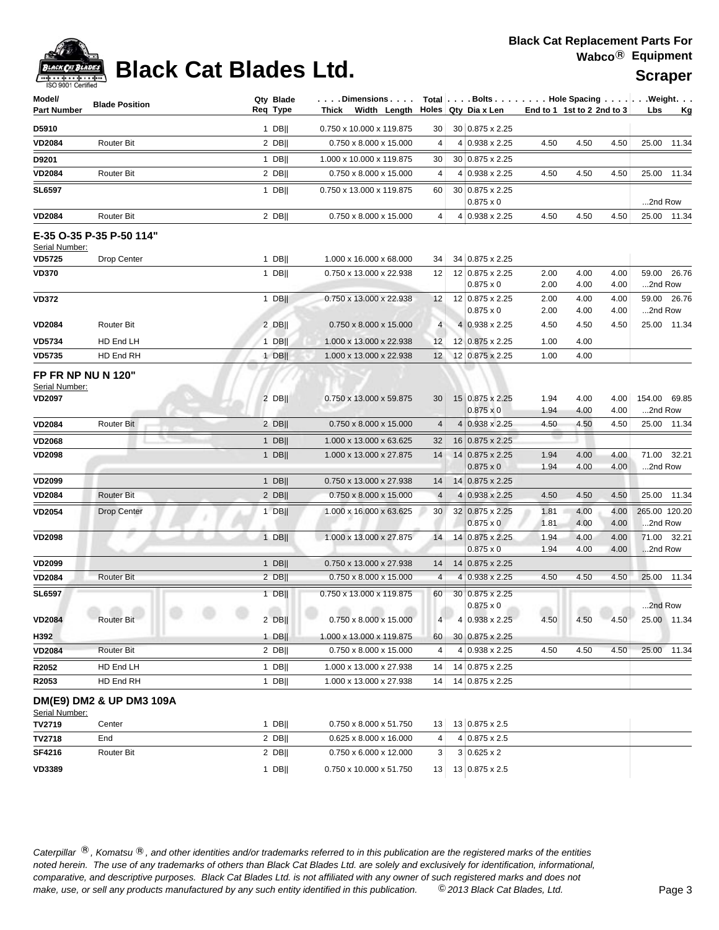## **Black Cat Blades Ltd.** Was Scraper

| Model/<br><b>Part Number</b>                | <b>Blade Position</b>     |             | Qty Blade<br>Req Type | $\ldots$ . Dimensions $\ldots$ .<br>Thick Width Length |                         | Holes Qty Dia x Len                 |              | Total Bolts Hole Spacing Weight.<br>End to 1 1st to 2 2nd to 3 |              | Lbs     | <u>Kg</u>     |
|---------------------------------------------|---------------------------|-------------|-----------------------|--------------------------------------------------------|-------------------------|-------------------------------------|--------------|----------------------------------------------------------------|--------------|---------|---------------|
|                                             |                           |             |                       |                                                        |                         |                                     |              |                                                                |              |         |               |
| D5910                                       |                           |             | $1$ DB                | 0.750 x 10.000 x 119.875                               | 30                      | 30 0.875 x 2.25                     |              |                                                                |              |         |               |
| <b>VD2084</b>                               | <b>Router Bit</b>         |             | $2$ DB                | 0.750 x 8.000 x 15.000                                 | 4                       | 4 0.938 x 2.25                      | 4.50         | 4.50                                                           | 4.50         |         | 25.00 11.34   |
| D9201                                       |                           |             | $1$ DB                | 1.000 x 10.000 x 119.875                               | 30                      | 30 0.875 x 2.25                     |              |                                                                |              |         |               |
| <b>VD2084</b>                               | <b>Router Bit</b>         |             | $2$ DB                | 0.750 x 8.000 x 15.000                                 | 4                       | 4 0.938 x 2.25                      | 4.50         | 4.50                                                           | 4.50         |         | 25.00 11.34   |
| <b>SL6597</b>                               |                           |             | $1$ DB                | 0.750 x 13.000 x 119.875                               | 60 <sub>1</sub>         | 30 0.875 x 2.25<br>$0.875 \times 0$ |              |                                                                |              | 2nd Row |               |
| <b>VD2084</b>                               | <b>Router Bit</b>         |             | $2$ DB                | 0.750 x 8.000 x 15.000                                 | 4                       | 4 0.938 x 2.25                      | 4.50         | 4.50                                                           | 4.50         |         | 25.00 11.34   |
| Serial Number:                              | E-35 O-35 P-35 P-50 114"  |             |                       |                                                        |                         |                                     |              |                                                                |              |         |               |
| <b>VD5725</b>                               | Drop Center               |             | $1$ DB                | 1.000 x 16.000 x 68.000                                | 34                      | 34 0.875 x 2.25                     |              |                                                                |              |         |               |
| <b>VD370</b>                                |                           |             | $1$ DB                | 0.750 x 13.000 x 22.938                                | 12                      | 12 0.875 x 2.25<br>$0.875 \times 0$ | 2.00<br>2.00 | 4.00<br>4.00                                                   | 4.00<br>4.00 | 2nd Row | 59.00 26.76   |
| <b>VD372</b>                                |                           |             | $1$ DB                | 0.750 x 13.000 x 22.938                                | 12                      | 12 0.875 x 2.25                     | 2.00         | 4.00                                                           | 4.00         |         | 59.00 26.76   |
|                                             |                           |             |                       |                                                        |                         | $0.875 \times 0$                    | 2.00         | 4.00                                                           | 4.00         | 2nd Row |               |
| <b>VD2084</b>                               | <b>Router Bit</b>         |             | $2$ DB                | 0.750 x 8.000 x 15.000                                 | $\overline{4}$          | 4 0.938 x 2.25                      | 4.50         | 4.50                                                           | 4.50         |         | 25.00 11.34   |
| <b>VD5734</b>                               | HD End LH                 |             | $1$ DB                | 1.000 x 13.000 x 22.938                                | 12                      | 12 0.875 x 2.25                     | 1.00         | 4.00                                                           |              |         |               |
| <b>VD5735</b>                               | HD End RH                 |             | $1$ DB                | 1.000 x 13.000 x 22.938                                | 12                      | 12 0.875 x 2.25                     | 1.00         | 4.00                                                           |              |         |               |
| <b>FP FR NP NU N 120"</b><br>Serial Number: |                           |             |                       |                                                        |                         |                                     |              |                                                                |              |         |               |
| <b>VD2097</b>                               |                           |             | $2$ DB                | 0.750 x 13.000 x 59.875                                | 30                      | 15 0.875 x 2.25                     | 1.94         | 4.00                                                           | 4.00         |         | 154.00 69.85  |
|                                             |                           |             |                       |                                                        |                         | $0.875 \times 0$                    | 1.94         | 4.00                                                           | 4.00         | 2nd Row |               |
| <b>VD2084</b>                               | Router Bit                |             | $2$ DB                | 0.750 x 8.000 x 15.000                                 | 4                       | 4 0.938 x 2.25                      | 4.50         | 4.50                                                           | 4.50         |         | 25.00 11.34   |
| <b>VD2068</b>                               |                           |             | $1$ DB                | 1.000 x 13.000 x 63.625                                | 32                      | 16 0.875 x 2.25                     |              |                                                                |              |         |               |
| <b>VD2098</b>                               |                           |             | 1 DB                  | 1.000 x 13.000 x 27.875                                | 14                      | 14 0.875 x 2.25                     | 1.94         | 4.00                                                           | 4.00         |         | 71.00 32.21   |
|                                             |                           |             |                       |                                                        |                         | $0.875 \times 0$                    | 1.94         | 4.00                                                           | 4.00         | 2nd Row |               |
| <b>VD2099</b>                               |                           |             | $1$ DB                | 0.750 x 13.000 x 27.938                                | 14                      | 14 0.875 x 2.25                     |              |                                                                |              |         |               |
| <b>VD2084</b>                               | <b>Router Bit</b>         |             | $2$ DB                | 0.750 x 8.000 x 15.000                                 | $\overline{4}$          | 4 0.938 x 2.25                      | 4.50         | 4.50                                                           | 4.50         |         | 25.00 11.34   |
| <b>VD2054</b>                               | Drop Center               |             | 1 DB                  | 1.000 x 16.000 x 63.625                                | 30                      | 32 0.875 x 2.25<br>$0.875 \times 0$ | 1.81<br>1.81 | 4.00<br>4.00                                                   | 4.00<br>4.00 | 2nd Row | 265.00 120.20 |
| <b>VD2098</b>                               | ×                         |             | $1$ DB                | 1.000 x 13.000 x 27.875                                | 14                      | 14 0.875 x 2.25                     | 1.94         | 4.00                                                           | 4.00         |         | 71.00 32.21   |
|                                             |                           |             |                       |                                                        |                         | $0.875 \times 0$                    | 1.94         | 4.00                                                           | 4.00         | 2nd Row |               |
| <b>VD2099</b>                               |                           |             | $1$ DB                | 0.750 x 13.000 x 27.938                                | 14                      | 14 0.875 x 2.25                     |              |                                                                |              |         |               |
| <b>VD2084</b>                               | <b>Router Bit</b>         |             | 2 DB                  | $0.750 \times 8.000 \times 15.000$                     | $\overline{\mathbf{4}}$ | $4 0.938 \times 2.25$               | 4.50         | 4.50                                                           | 4.50         |         | 25.00 11.34   |
| <b>SL6597</b>                               | a m<br><b>COL</b><br>$ -$ | <b>ATTN</b> | $1$ DB  <br>allow.    | 0.750 x 13.000 x 119.875<br>m<br>allo.                 | 60                      | 30 0.875 x 2.25<br>$0.875 \times 0$ | m            | and in                                                         | <b>ATON</b>  | 2nd Row |               |
| <b>VD2084</b>                               | Router Bit                |             | $2$ DB                | 0.750 x 8.000 x 15.000                                 | 4                       | 4 0.938 x 2.25                      | 4.50         | 4.50                                                           | 4.50         |         | 25.00 11.34   |
| H392                                        |                           |             | $1$ DB                | 1.000 x 13.000 x 119.875                               | 60 <sub>1</sub>         | 30 0.875 x 2.25                     |              |                                                                |              |         |               |
| <b>VD2084</b>                               | Router Bit                |             | $2$ DB                | $0.750 \times 8.000 \times 15.000$                     | 4                       | 4 0.938 x 2.25                      | 4.50         | 4.50                                                           | 4.50         |         | 25.00 11.34   |
| R2052                                       | HD End LH                 |             | 1 DB                  | 1.000 x 13.000 x 27.938                                | 14                      | 14 0.875 x 2.25                     |              |                                                                |              |         |               |
| R2053                                       | HD End RH                 |             | $1$ DB                | 1.000 x 13.000 x 27.938                                | 14                      | 14 0.875 x 2.25                     |              |                                                                |              |         |               |
| Serial Number:                              | DM(E9) DM2 & UP DM3 109A  |             |                       |                                                        |                         |                                     |              |                                                                |              |         |               |
| TV2719                                      | Center                    |             | 1 DB                  | 0.750 x 8.000 x 51.750                                 | 13                      | 13 0.875 x 2.5                      |              |                                                                |              |         |               |
| TV2718                                      | End                       |             | $2$ DB                | 0.625 x 8.000 x 16.000                                 | 4                       | 4 0.875 x 2.5                       |              |                                                                |              |         |               |
| SF4216                                      | Router Bit                |             | $2$ DB                | 0.750 x 6.000 x 12.000                                 | 3                       | $3 0.625 \times 2$                  |              |                                                                |              |         |               |
| <b>VD3389</b>                               |                           |             | 1 DB                  | 0.750 x 10.000 x 51.750                                | 13                      | 13 0.875 x 2.5                      |              |                                                                |              |         |               |
|                                             |                           |             |                       |                                                        |                         |                                     |              |                                                                |              |         |               |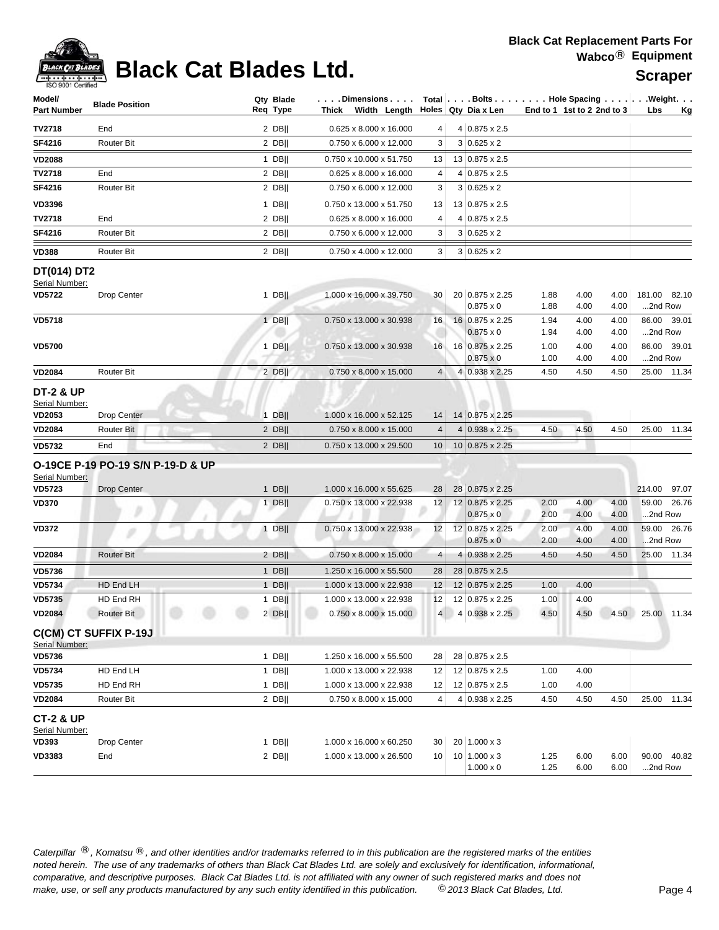

# **Black Cat Blades Ltd.** Mapped Scraper

| Model/<br><b>Part Number</b>           | <b>Blade Position</b>             | Qty Blade<br>Req Type | $\ldots$ Dimensions $\ldots$<br>Width Length Holes Qty Dia x Len<br>Thick |                |                                         |              | End to 1 1st to 2 2nd to 3 |              | Total   Bolts   Hole Spacing   Weight.<br>Lbs<br>Kg |
|----------------------------------------|-----------------------------------|-----------------------|---------------------------------------------------------------------------|----------------|-----------------------------------------|--------------|----------------------------|--------------|-----------------------------------------------------|
| TV2718                                 | End                               | $2$ DB                | 0.625 x 8.000 x 16.000                                                    | 4              | 4 0.875 x 2.5                           |              |                            |              |                                                     |
| SF4216                                 | <b>Router Bit</b>                 | $2$ DB                | 0.750 x 6.000 x 12.000                                                    | 3              | $3 0.625 \times 2$                      |              |                            |              |                                                     |
| <b>VD2088</b>                          |                                   | $1$ DB                | 0.750 x 10.000 x 51.750                                                   | 13             | 13 0.875 x 2.5                          |              |                            |              |                                                     |
| TV2718                                 | End                               | 2 DB                  | 0.625 x 8.000 x 16.000                                                    | 4              | $4 0.875 \times 2.5$                    |              |                            |              |                                                     |
| SF4216                                 | <b>Router Bit</b>                 | $2$ DB                | 0.750 x 6.000 x 12.000                                                    | 3              | $3 0.625 \times 2$                      |              |                            |              |                                                     |
| <b>VD3396</b>                          |                                   | $1$ DB                | 0.750 x 13.000 x 51.750                                                   | 13             | 13 0.875 x 2.5                          |              |                            |              |                                                     |
| TV2718                                 | End                               | 2 DB                  | 0.625 x 8.000 x 16.000                                                    | 4              | 4 0.875 x 2.5                           |              |                            |              |                                                     |
| SF4216                                 | Router Bit                        | $2$ DB                | 0.750 x 6.000 x 12.000                                                    | 3              | $3 0.625 \times 2$                      |              |                            |              |                                                     |
|                                        |                                   |                       |                                                                           |                |                                         |              |                            |              |                                                     |
| <b>VD388</b>                           | <b>Router Bit</b>                 | $2$ DB                | 0.750 x 4.000 x 12.000                                                    | 3              | $3 0.625 \times 2$                      |              |                            |              |                                                     |
| DT(014) DT2                            |                                   |                       |                                                                           |                |                                         |              |                            |              |                                                     |
| Serial Number:<br><b>VD5722</b>        | Drop Center                       | 1 DB                  | 1.000 x 16.000 x 39.750                                                   | 30             | 20 0.875 x 2.25                         | 1.88         | 4.00                       | 4.00         | 181.00 82.10                                        |
|                                        |                                   |                       |                                                                           |                | $0.875 \times 0$                        | 1.88         | 4.00                       | 4.00         | 2nd Row                                             |
| <b>VD5718</b>                          |                                   | $1$ DB                | 0.750 x 13.000 x 30.938                                                   | 16             | 16 0.875 x 2.25                         | 1.94         | 4.00                       | 4.00         | 86.00 39.01                                         |
|                                        |                                   |                       |                                                                           |                | $0.875 \times 0$                        | 1.94         | 4.00                       | 4.00         | 2nd Row                                             |
| <b>VD5700</b>                          |                                   | $1$ DB                | 0.750 x 13.000 x 30.938                                                   | 16             | 16 0.875 x 2.25                         | 1.00         | 4.00                       | 4.00         | 86.00 39.01                                         |
|                                        |                                   |                       |                                                                           |                | $0.875 \times 0$                        | 1.00         | 4.00                       | 4.00         | 2nd Row                                             |
| <b>VD2084</b>                          | <b>Router Bit</b>                 | 2 DB                  | 0.750 x 8.000 x 15.000                                                    | $\overline{4}$ | 4 0.938 x 2.25                          | 4.50         | 4.50                       | 4.50         | 25.00 11.34                                         |
| <b>DT-2 &amp; UP</b><br>Serial Number: |                                   |                       |                                                                           |                |                                         |              |                            |              |                                                     |
| <b>VD2053</b>                          | <b>Drop Center</b>                | $1$ DB                | 1.000 x 16.000 x 52.125                                                   | 14             | 14 0.875 x 2.25                         |              |                            |              |                                                     |
| <b>VD2084</b>                          | Router Bit                        | 2 DB                  | 0.750 x 8.000 x 15.000                                                    | $\overline{4}$ | 4 0.938 x 2.25                          | 4.50         | 4.50                       | 4.50         | 25.00 11.34                                         |
| <b>VD5732</b>                          | End                               | $2$ DB                | 0.750 x 13.000 x 29.500                                                   | 10             | 10 0.875 x 2.25                         |              |                            |              |                                                     |
| Serial Number:                         | O-19CE P-19 PO-19 S/N P-19-D & UP |                       |                                                                           |                |                                         |              |                            |              |                                                     |
| <b>VD5723</b>                          | <b>Drop Center</b>                | $1$ DB                | 1.000 x 16.000 x 55.625                                                   | 28             | 28 0.875 x 2.25                         |              |                            |              | 214.00<br>97.07                                     |
| <b>VD370</b>                           |                                   | $1$ DB                | 0.750 x 13.000 x 22.938                                                   |                | 12 12 0.875 x 2.25<br>$0.875 \times 0$  | 2.00<br>2.00 | 4.00<br>4.00               | 4.00<br>4.00 | 59.00<br>26.76<br>2nd Row                           |
| <b>VD372</b>                           | s                                 | $1$ DB                | 0.750 x 13.000 x 22.938                                                   | 12             | 12 0.875 x 2.25                         | 2.00         | 4.00                       | 4.00         | 59.00 26.76                                         |
|                                        |                                   |                       |                                                                           |                | $0.875 \times 0$                        | 2.00         | 4.00                       | 4.00         | 2nd Row                                             |
| <b>VD2084</b>                          | <b>Router Bit</b>                 | 2 $DB$                | 0.750 x 8.000 x 15.000                                                    | 4              | 4 0.938 x 2.25                          | 4.50         | 4.50                       | 4.50         | 25.00 11.34                                         |
| <b>VD5736</b>                          |                                   | $1$ DB                | 1.250 x 16.000 x 55.500                                                   | 28             | 28 0.875 x 2.5                          |              |                            |              |                                                     |
| <b>VD5734</b>                          | HD End LH                         | $1$ DB                | 1.000 x 13.000 x 22.938                                                   | 12             | 12 0.875 x 2.25                         | 1.00         | 4.00                       |              |                                                     |
| <b>VD5735</b>                          | HD End RH                         | $1$ DB                | 1.000 x 13.000 x 22.938                                                   | 12             | 12 0.875 x 2.25                         | 1.00         | 4.00                       |              |                                                     |
| <b>VD2084</b>                          | <b>Router Bit</b>                 | $2$ DB                | 0.750 x 8.000 x 15.000                                                    | $\overline{4}$ | 4 0.938 x 2.25                          | 4.50         | 4.50                       | 4.50         | 25.00 11.34                                         |
| Serial Number:                         | <b>C(CM) CT SUFFIX P-19J</b>      |                       |                                                                           |                |                                         |              |                            |              |                                                     |
| <b>VD5736</b>                          |                                   | $1$ DB                | 1.250 x 16.000 x 55.500                                                   | 28             | 28 0.875 x 2.5                          |              |                            |              |                                                     |
| <b>VD5734</b>                          | HD End LH                         | $1$ DB                | 1.000 x 13.000 x 22.938                                                   | 12             | 12 0.875 x 2.5                          | 1.00         | 4.00                       |              |                                                     |
| <b>VD5735</b>                          | HD End RH                         | 1 DB                  | 1.000 x 13.000 x 22.938                                                   | 12             | 12 0.875 x 2.5                          | 1.00         | 4.00                       |              |                                                     |
| <b>VD2084</b>                          | Router Bit                        | $2$ DB                | 0.750 x 8.000 x 15.000                                                    | 4              | 4 0.938 x 2.25                          | 4.50         | 4.50                       | 4.50         | 25.00<br>11.34                                      |
| CT-2 & UP<br>Serial Number:            |                                   |                       |                                                                           |                |                                         |              |                            |              |                                                     |
| VD393                                  | Drop Center                       | $1$ DB                | 1.000 x 16.000 x 60.250                                                   | 30             | 20 1.000 x 3                            |              |                            |              |                                                     |
| <b>VD3383</b>                          | End                               | $2$ DB                | 1.000 x 13.000 x 26.500                                                   | 10             | $10 1.000 \times 3$<br>$1.000 \times 0$ | 1.25<br>1.25 | 6.00<br>6.00               | 6.00<br>6.00 | 90.00 40.82<br>2nd Row                              |
|                                        |                                   |                       |                                                                           |                |                                         |              |                            |              |                                                     |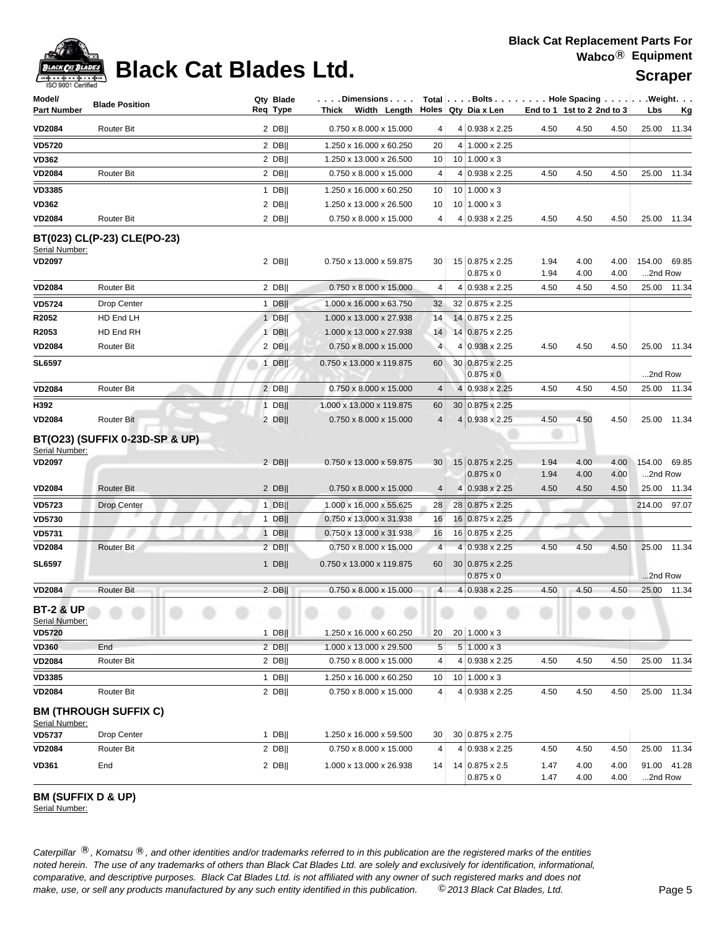## **Black Cat Replacement Parts For Wabco**® **Equipment**



# **Black Cat Blades Ltd. Suppliers Scraper**

| Model/<br>Part Number                  | <b>Blade Position</b>          | Qty Blade<br>Req Type | . Dimensions<br>Thick Width Length |                |   | Total $\vert \ldots$ Bolts $\ldots \vert \ldots$ Hole Spacing $\ldots \vert \ldots$ Weight. $\ldots$<br>Holes Qty Dia x Len | End to 1 1st to 2 2nd to 3 |              |              | Lbs                     | <u>Kg</u>   |
|----------------------------------------|--------------------------------|-----------------------|------------------------------------|----------------|---|-----------------------------------------------------------------------------------------------------------------------------|----------------------------|--------------|--------------|-------------------------|-------------|
| <b>VD2084</b>                          | <b>Router Bit</b>              | $2$ DB                | 0.750 x 8.000 x 15.000             | 4              |   | 4 0.938 x 2.25                                                                                                              | 4.50                       | 4.50         | 4.50         |                         | 25.00 11.34 |
| <b>VD5720</b>                          |                                | $2$ DB                | 1.250 x 16.000 x 60.250            | 20             |   | 4 1.000 x 2.25                                                                                                              |                            |              |              |                         |             |
| VD362                                  |                                | 2 DB                  | 1.250 x 13.000 x 26.500            | 10             |   | $10 1.000 \times 3$                                                                                                         |                            |              |              |                         |             |
| <b>VD2084</b>                          | <b>Router Bit</b>              | $2$ DB                | 0.750 x 8.000 x 15.000             | 4              | 4 | $0.938 \times 2.25$                                                                                                         | 4.50                       | 4.50         | 4.50         |                         | 25.00 11.34 |
| <b>VD3385</b>                          |                                | $1$ DB                | 1.250 x 16.000 x 60.250            | 10             |   | $10$ 1.000 x 3                                                                                                              |                            |              |              |                         |             |
| <b>VD362</b>                           |                                | 2 DB                  | 1.250 x 13.000 x 26.500            | 10             |   | $10 1.000 \times 3$                                                                                                         |                            |              |              |                         |             |
| <b>VD2084</b>                          | <b>Router Bit</b>              | $2$ DB                | 0.750 x 8.000 x 15.000             | 4              |   | 4 0.938 x 2.25                                                                                                              | 4.50                       | 4.50         | 4.50         |                         | 25.00 11.34 |
| Serial Number:<br><b>VD2097</b>        | BT(023) CL(P-23) CLE(PO-23)    | $2$ DB                | 0.750 x 13.000 x 59.875            | 30             |   | 15 0.875 x 2.25<br>$0.875 \times 0$                                                                                         | 1.94<br>1.94               | 4.00<br>4.00 | 4.00<br>4.00 | 154.00 69.85<br>2nd Row |             |
| <b>VD2084</b>                          | <b>Router Bit</b>              | $2$ DB                | 0.750 x 8.000 x 15.000             | 4              |   | 4 0.938 x 2.25                                                                                                              | 4.50                       | 4.50         | 4.50         |                         | 25.00 11.34 |
| VD5724                                 | Drop Center                    | $1$ DB                | 1.000 x 16.000 x 63.750            | 32             |   | 32 0.875 x 2.25                                                                                                             |                            |              |              |                         |             |
| R2052                                  | HD End LH                      | $1$ DB                | 1.000 x 13.000 x 27.938            | 14             |   | 14 0.875 x 2.25                                                                                                             |                            |              |              |                         |             |
| R2053                                  | HD End RH                      | $1$ DB                | 1.000 x 13.000 x 27.938            | 14             |   | 14 0.875 x 2.25                                                                                                             |                            |              |              |                         |             |
| <b>VD2084</b>                          | Router Bit                     | $2$ DB                | 0.750 x 8.000 x 15.000             | $\overline{4}$ | 4 | $0.938 \times 2.25$                                                                                                         | 4.50                       | 4.50         | 4.50         |                         | 25.00 11.34 |
| <b>SL6597</b>                          |                                | $1$ DB                | 0.750 x 13.000 x 119.875           | 60             |   | 30 0.875 x 2.25<br>$0.875 \times 0$                                                                                         |                            |              |              | 2nd Row                 |             |
| <b>VD2084</b>                          | <b>Router Bit</b>              | $2$ DB                | 0.750 x 8.000 x 15.000             | $\overline{4}$ |   | 4 0.938 x 2.25                                                                                                              | 4.50                       | 4.50         | 4.50         |                         | 25.00 11.34 |
| H392                                   |                                | $1$ DB                | 1.000 x 13.000 x 119.875           | 60             |   | 30 0.875 x 2.25                                                                                                             |                            |              |              |                         |             |
| <b>VD2084</b>                          | Router Bit                     | $2$ DB                | $0.750 \times 8.000 \times 15.000$ | 4              |   | 4 0.938 x 2.25                                                                                                              | 4.50                       | 4.50         | 4.50         |                         | 25.00 11.34 |
| Serial Number:<br><b>VD2097</b>        | BT(O23) (SUFFIX 0-23D-SP & UP) | $2$ DB                | 0.750 x 13.000 x 59.875            | 30             |   | 15 0.875 x 2.25<br>$0.875 \times 0$                                                                                         | 1.94<br>1.94               | 4.00<br>4.00 | 4.00<br>4.00 | 154.00<br>2nd Row       | 69.85       |
| <b>VD2084</b>                          | <b>Router Bit</b>              | $2$ DB                | 0.750 x 8.000 x 15.000             | 4              |   | 4 0.938 x 2.25                                                                                                              | 4.50                       | 4.50         | 4.50         | 25.00                   | 11.34       |
| VD5723                                 | <b>Drop Center</b>             | $1$ DB                | 1.000 x 16.000 x 55.625            | 28             |   | 28 0.875 x 2.25                                                                                                             |                            |              |              | 214.00                  | 97.07       |
| VD5730                                 |                                | $1$ DB                | 0.750 x 13.000 x 31.938            | 16             |   | 16 0.875 x 2.25                                                                                                             |                            |              |              |                         |             |
| VD5731                                 |                                | $1$ DB                | 0.750 x 13.000 x 31.938            | 16             |   | 16 0.875 x 2.25                                                                                                             |                            |              |              |                         |             |
| <b>VD2084</b>                          | Router Bit                     | $2$ DB                | 0.750 x 8.000 x 15.000             | $\overline{4}$ |   | 4 0.938 x 2.25                                                                                                              | 4.50                       | 4.50         | 4.50         |                         | 25.00 11.34 |
| <b>SL6597</b>                          |                                | 1 DB                  | 0.750 x 13.000 x 119.875           | 60             |   | 30 0.875 x 2.25<br>$0.875 \times 0$                                                                                         |                            |              |              | 2nd Row                 |             |
| <b>VD2084</b>                          | Router Bit                     | $2$ DB                | 0.750 x 8.000 x 15.000             | $\overline{4}$ |   | 4 0.938 x 2.25                                                                                                              | 4.50                       | 4.50         | 4.50         |                         | 25.00 11.34 |
| <b>BT-2 &amp; UP</b><br>Serial Number: |                                |                       |                                    |                |   |                                                                                                                             |                            |              |              |                         |             |
| <b>VD5720</b>                          |                                | $1$ DB                | 1.250 x 16.000 x 60.250            | 20             |   | 20 1.000 x 3                                                                                                                |                            |              |              |                         |             |
| <b>VD360</b><br><b>VD2084</b>          | End<br>Router Bit              | $2$ DB  <br>$2$ DB    | 1.000 x 13.000 x 29.500            | 5              |   | $5 1.000 \times 3$<br>4 0.938 x 2.25                                                                                        | 4.50                       | 4.50         | 4.50         |                         | 25.00 11.34 |
|                                        |                                |                       | $0.750 \times 8.000 \times 15.000$ | 4              |   |                                                                                                                             |                            |              |              |                         |             |
| <b>VD3385</b>                          |                                | $1$ DB                | 1.250 x 16.000 x 60.250            | 10             |   | $10 1.000 \times 3$                                                                                                         |                            |              |              |                         |             |
| <b>VD2084</b>                          | Router Bit                     | $2$ DB                | 0.750 x 8.000 x 15.000             | 4              |   | 4 0.938 x 2.25                                                                                                              | 4.50                       | 4.50         | 4.50         |                         | 25.00 11.34 |
| Serial Number:                         | <b>BM (THROUGH SUFFIX C)</b>   |                       |                                    |                |   |                                                                                                                             |                            |              |              |                         |             |
| <b>VD5737</b>                          | Drop Center                    | $1$ DB                | 1.250 x 16.000 x 59.500            | 30             |   | 30 0.875 x 2.75                                                                                                             |                            |              |              |                         |             |
| <b>VD2084</b>                          | Router Bit                     | 2 DB                  | 0.750 x 8.000 x 15.000             | 4              |   | 4 0.938 x 2.25                                                                                                              | 4.50                       | 4.50         | 4.50         |                         | 25.00 11.34 |
| VD361                                  | End                            | $2$ DB                | 1.000 x 13.000 x 26.938            | 14             |   | 14 0.875 x 2.5<br>$0.875 \times 0$                                                                                          | 1.47<br>1.47               | 4.00<br>4.00 | 4.00<br>4.00 | 2nd Row                 | 91.00 41.28 |

## **BM (SUFFIX D & UP)**

Serial Number: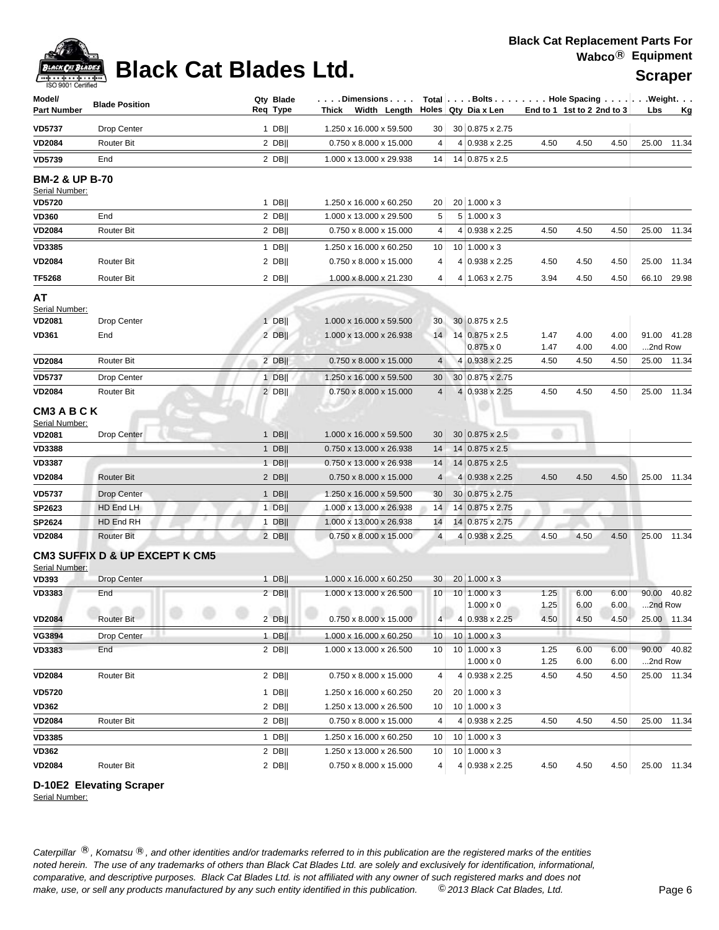# **Black Cat Blades Ltd.** Was Scraper

| Model/<br><b>Part Number</b>                             | <b>Blade Position</b>                                | Qty Blade<br>Req Type | . Dimensions<br>Thick Width Length                 |                | Total Bolts Hole Spacing Weight.<br>Holes Qty Dia x Len | End to 1 1st to 2 2nd to 3 |              |              | Lbs              | <u>Kg</u>   |
|----------------------------------------------------------|------------------------------------------------------|-----------------------|----------------------------------------------------|----------------|---------------------------------------------------------|----------------------------|--------------|--------------|------------------|-------------|
| <b>VD5737</b>                                            | Drop Center                                          | $1$ DB                | 1.250 x 16.000 x 59.500                            | 30             | 30 0.875 x 2.75                                         |                            |              |              |                  |             |
| <b>VD2084</b>                                            | <b>Router Bit</b>                                    | $2$ DB                | 0.750 x 8.000 x 15.000                             | 4              | 4 0.938 x 2.25                                          | 4.50                       | 4.50         | 4.50         |                  | 25.00 11.34 |
| <b>VD5739</b>                                            | End                                                  | $2$ DB                | 1.000 x 13.000 x 29.938                            | 14             | 14 0.875 x 2.5                                          |                            |              |              |                  |             |
| <b>BM-2 &amp; UP B-70</b>                                |                                                      |                       |                                                    |                |                                                         |                            |              |              |                  |             |
| Serial Number:                                           |                                                      |                       |                                                    |                |                                                         |                            |              |              |                  |             |
| <b>VD5720</b>                                            |                                                      | $1$ DB                | 1.250 x 16.000 x 60.250                            | 20             | 20 1.000 x 3                                            |                            |              |              |                  |             |
| <b>VD360</b>                                             | End<br><b>Router Bit</b>                             | 2 DB  <br>$2$ DB      | 1.000 x 13.000 x 29.500<br>0.750 x 8.000 x 15.000  | 5              | $5 1.000 \times 3$<br>4 0.938 x 2.25                    | 4.50                       | 4.50         | 4.50         |                  | 11.34       |
| <b>VD2084</b>                                            |                                                      |                       |                                                    | 4              |                                                         |                            |              |              | 25.00            |             |
| <b>VD3385</b>                                            | <b>Router Bit</b>                                    | $1$ DB                | 1.250 x 16.000 x 60.250                            | 10             | $10$ 1.000 x 3                                          |                            |              |              |                  |             |
| <b>VD2084</b>                                            |                                                      | $2$ DB                | 0.750 x 8.000 x 15.000                             | 4              | 4 0.938 x 2.25                                          | 4.50                       | 4.50         | 4.50         | 25.00            | 11.34       |
| <b>TF5268</b>                                            | <b>Router Bit</b>                                    | $2$ DB                | 1.000 x 8.000 x 21.230                             | 4              | 4 1.063 x 2.75                                          | 3.94                       | 4.50         | 4.50         | 66.10            | 29.98       |
| AT                                                       |                                                      |                       |                                                    |                |                                                         |                            |              |              |                  |             |
| Serial Number:<br><b>VD2081</b>                          | Drop Center                                          | $1$ DB                | 1.000 x 16.000 x 59.500                            | 30             | 30 0.875 x 2.5                                          |                            |              |              |                  |             |
| <b>VD361</b>                                             | End                                                  | $2$ DB                | 1.000 x 13.000 x 26.938                            | 14             | 14 0.875 x 2.5                                          | 1.47                       | 4.00         | 4.00         |                  | 91.00 41.28 |
|                                                          |                                                      |                       |                                                    |                | $0.875 \times 0$                                        | 1.47                       | 4.00         | 4.00         | 2nd Row          |             |
| <b>VD2084</b>                                            | Router Bit                                           | $2$ DB                | 0.750 x 8.000 x 15.000                             | 4              | 4 0.938 x 2.25                                          | 4.50                       | 4.50         | 4.50         |                  | 25.00 11.34 |
| <b>VD5737</b>                                            | Drop Center                                          | $1$ DB                | 1.250 x 16.000 x 59.500                            | 30             | 30 0.875 x 2.75                                         |                            |              |              |                  |             |
| <b>VD2084</b>                                            | <b>Router Bit</b>                                    | $2$ DB                | $0.750 \times 8.000 \times 15.000$                 | 4              | 4 0.938 x 2.25                                          | 4.50                       | 4.50         | 4.50         | 25.00            | 11.34       |
| CM3 A B C K<br>Serial Number:<br><b>VD2081</b><br>VD3388 | Drop Center                                          | $1$ DB  <br>$1$ DB    | 1.000 x 16.000 x 59.500<br>0.750 x 13.000 x 26.938 | 30<br>14       | 30 0.875 x 2.5<br>14 0.875 x 2.5                        |                            |              |              |                  |             |
| <b>VD3387</b>                                            |                                                      | $1$ DB                | 0.750 x 13.000 x 26.938                            | 14             | 14 0.875 x 2.5                                          |                            |              |              |                  |             |
| <b>VD2084</b>                                            | <b>Router Bit</b>                                    | $2$ DB                | 0.750 x 8.000 x 15.000                             | 4              | 4 0.938 x 2.25                                          | 4.50                       | 4.50         | 4.50         |                  | 25.00 11.34 |
| <b>VD5737</b>                                            | Drop Center                                          | 1 DB                  | 1.250 x 16.000 x 59.500                            | 30             | 30 0.875 x 2.75                                         |                            |              |              |                  |             |
| SP2623                                                   | HD End LH                                            | $1$ DB                | 1.000 x 13.000 x 26.938                            | 14             | 14 0.875 x 2.75                                         |                            |              |              |                  |             |
| SP2624                                                   | HD End RH                                            | $1$ DB                | 1.000 x 13.000 x 26.938                            | 14             | 14 0.875 x 2.75                                         |                            |              |              |                  |             |
| <b>VD2084</b>                                            | <b>Router Bit</b>                                    | $2$ DB                | 0.750 x 8.000 x 15.000                             | $\overline{4}$ | 4 0.938 x 2.25                                          | 4.50                       | 4.50         | 4.50         |                  | 25.00 11.34 |
| Serial Number:                                           | <b>CM3 SUFFIX D &amp; UP EXCEPT K CM5</b>            |                       |                                                    |                |                                                         |                            |              |              |                  |             |
| VD393                                                    | <b>Drop Center</b>                                   | 1 DB                  | 1.000 x 16.000 x 60.250                            | 30             | 20 1.000 x 3                                            |                            |              |              |                  |             |
| <b>VD3383</b>                                            | End<br>oli la<br>an i<br><b>ATTN</b><br><b>ATTN:</b> | 2 DB  <br>of the      | 1.000 x 13.000 x 26.500<br>attine.<br>affin.       | 10             | $10 1.000 \times 3$<br>$1.000 \times 0$                 | 1.25<br>1.25               | 6.00<br>6.00 | 6.00<br>6.00 | 90.00<br>2nd Row | 40.82       |
| <b>VD2084</b>                                            | Router Bit                                           | $2$ DB                | 0.750 x 8.000 x 15.000                             | 4              | 4 0.938 x 2.25                                          | 4.50                       | 4.50         | 4.50         |                  | 25.00 11.34 |
| <b>VG3894</b>                                            | Drop Center                                          | $1$ DB                | 1.000 x 16.000 x 60.250                            | 10             | $10 1.000 \times 3$                                     |                            |              |              |                  |             |
| <b>VD3383</b>                                            | End                                                  | $2$ DB                | 1.000 x 13.000 x 26.500                            | 10             | $10$ 1.000 x 3<br>$1.000 \times 0$                      | 1.25<br>1.25               | 6.00<br>6.00 | 6.00<br>6.00 | 2nd Row          | 90.00 40.82 |
| <b>VD2084</b>                                            | Router Bit                                           | $2$ DB                | 0.750 x 8.000 x 15.000                             | 4              | 4 0.938 x 2.25                                          | 4.50                       | 4.50         | 4.50         |                  | 25.00 11.34 |
| <b>VD5720</b>                                            |                                                      | $1$ DB                | 1.250 x 16.000 x 60.250                            | 20             | $20 1.000 \times 3$                                     |                            |              |              |                  |             |
| <b>VD362</b>                                             |                                                      | $2$ DB                | 1.250 x 13.000 x 26.500                            | 10             | $10 1.000 \times 3$                                     |                            |              |              |                  |             |
| <b>VD2084</b>                                            | Router Bit                                           | $2$ DB                | 0.750 x 8.000 x 15.000                             | 4              | 4 0.938 x 2.25                                          | 4.50                       | 4.50         | 4.50         |                  | 25.00 11.34 |
| <b>VD3385</b>                                            |                                                      | $1$ DB                | 1.250 x 16.000 x 60.250                            | 10             | $10 \mid 1.000 \times 3$                                |                            |              |              |                  |             |
| VD362                                                    |                                                      | $2$ DB                | 1.250 x 13.000 x 26.500                            | 10             | $10 1.000 \times 3$                                     |                            |              |              |                  |             |
| <b>VD2084</b>                                            | Router Bit                                           | $2$ DB                | 0.750 x 8.000 x 15.000                             | 4              | 4 0.938 x 2.25                                          | 4.50                       | 4.50         | 4.50         |                  | 25.00 11.34 |

## **D-10E2 Elevating Scraper**

Serial Number: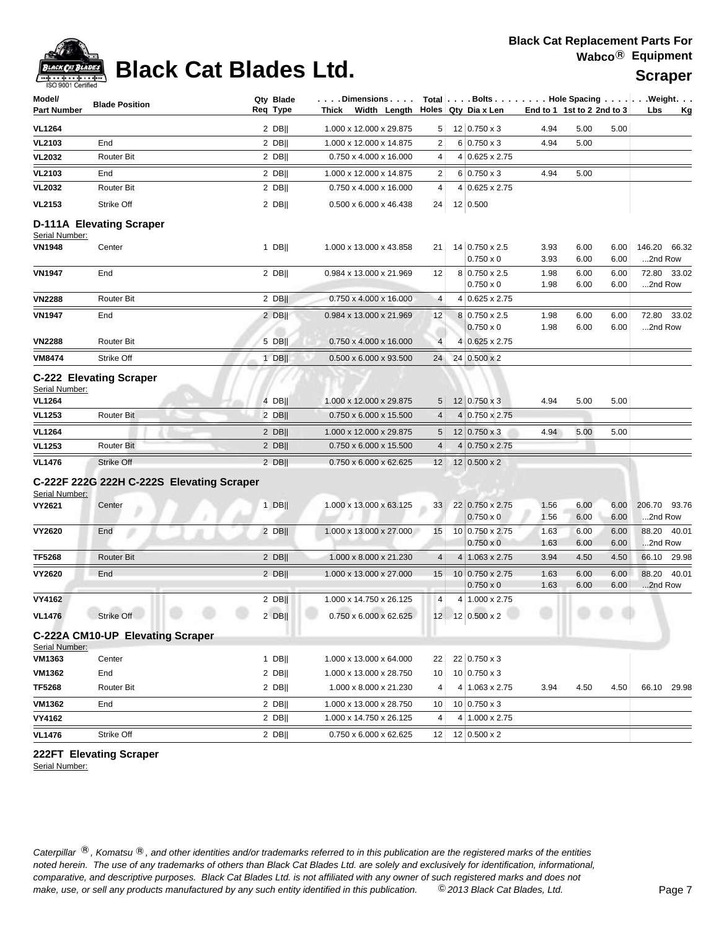

## **Black Cat Blades Ltd.** Water Scraper

| ISO 9001 Certified              |                                  |                                           |                       |       |                                    |                         |                                                               |                            |              |              |                         |             |
|---------------------------------|----------------------------------|-------------------------------------------|-----------------------|-------|------------------------------------|-------------------------|---------------------------------------------------------------|----------------------------|--------------|--------------|-------------------------|-------------|
| Model/<br><b>Part Number</b>    | <b>Blade Position</b>            |                                           | Qty Blade<br>Req Type | Thick | . Dimensions<br>Width Length       |                         | Total   Bolts   Hole Spacing   Weight.<br>Holes Qty Dia x Len | End to 1 1st to 2 2nd to 3 |              |              | Lbs                     | <u>Kg</u>   |
| <b>VL1264</b>                   |                                  |                                           | 2 DB                  |       | 1.000 x 12.000 x 29.875            | 5                       | $12   0.750 \times 3$                                         | 4.94                       | 5.00         | 5.00         |                         |             |
| <b>VL2103</b>                   | End                              |                                           | 2 DB                  |       | 1.000 x 12.000 x 14.875            | $\overline{2}$          | $6 0.750 \times 3$                                            | 4.94                       | 5.00         |              |                         |             |
| <b>VL2032</b>                   | <b>Router Bit</b>                |                                           | $2$ DB                |       | 0.750 x 4.000 x 16.000             | 4                       | $4 0.625 \times 2.75$                                         |                            |              |              |                         |             |
| <b>VL2103</b>                   | End                              |                                           | $2$ DB                |       | 1.000 x 12.000 x 14.875            | $\overline{\mathbf{c}}$ | $6 0.750 \times 3$                                            | 4.94                       | 5.00         |              |                         |             |
| <b>VL2032</b>                   | Router Bit                       |                                           | $2$ DB                |       | 0.750 x 4.000 x 16.000             | 4                       | 4 0.625 x 2.75                                                |                            |              |              |                         |             |
| <b>VL2153</b>                   | Strike Off                       |                                           | $2$ DB                |       | 0.500 x 6.000 x 46.438             | 24                      | 12 0.500                                                      |                            |              |              |                         |             |
|                                 | D-111A Elevating Scraper         |                                           |                       |       |                                    |                         |                                                               |                            |              |              |                         |             |
| Serial Number:<br><b>VN1948</b> | Center                           |                                           | $1$ DB                |       | 1.000 x 13.000 x 43.858            | 21                      | 14 0.750 x 2.5<br>$0.750 \times 0$                            | 3.93<br>3.93               | 6.00<br>6.00 | 6.00<br>6.00 | 146.20 66.32<br>2nd Row |             |
| <b>VN1947</b>                   | End                              |                                           | $2$ DB                |       | 0.984 x 13.000 x 21.969            | 12                      | 8 0.750 x 2.5<br>$0.750 \times 0$                             | 1.98<br>1.98               | 6.00<br>6.00 | 6.00<br>6.00 | 2nd Row                 | 72.80 33.02 |
| <b>VN2288</b>                   | Router Bit                       |                                           | $2$ DB                |       | 0.750 x 4.000 x 16.000             | 4                       | 4 0.625 x 2.75                                                |                            |              |              |                         |             |
| <b>VN1947</b>                   | End                              |                                           | $2$ DB                |       | 0.984 x 13.000 x 21.969            | 12                      | 8 0.750 x 2.5<br>$0.750 \times 0$                             | 1.98<br>1.98               | 6.00<br>6.00 | 6.00<br>6.00 | 72.80<br>2nd Row        | 33.02       |
| <b>VN2288</b>                   | <b>Router Bit</b>                |                                           | 5 DBII                |       | $0.750 \times 4.000 \times 16.000$ | $\overline{4}$          | 4 0.625 x 2.75                                                |                            |              |              |                         |             |
| <b>VM8474</b>                   | Strike Off                       |                                           | $1$ DB                |       | $0.500 \times 6.000 \times 93.500$ | 24                      | 24 0.500 x 2                                                  |                            |              |              |                         |             |
| Serial Number:<br><b>VL1264</b> | <b>C-222 Elevating Scraper</b>   |                                           | 4 DB                  |       | 1.000 x 12.000 x 29.875            | 5                       | 12 0.750 x 3                                                  | 4.94                       | 5.00         | 5.00         |                         |             |
| <b>VL1253</b>                   | Router Bit                       |                                           | $2$ DB                |       | 0.750 x 6.000 x 15.500             | $\overline{4}$          | 4 0.750 x 2.75                                                |                            |              |              |                         |             |
| <b>VL1264</b>                   |                                  |                                           | $2$ DB                |       | 1.000 x 12.000 x 29.875            | 5                       | 12   0.750 x 3                                                | 4.94                       | 5.00         | 5.00         |                         |             |
| <b>VL1253</b>                   | <b>Router Bit</b>                |                                           | $2$ DB                |       | 0.750 x 6.000 x 15.500             | 4                       | $4 0.750 \times 2.75$                                         |                            |              |              |                         |             |
| <b>VL1476</b>                   | Strike Off                       |                                           | $2$ DB                |       | 0.750 x 6.000 x 62.625             | 12                      | 12 0.500 x 2                                                  |                            |              |              |                         |             |
| Serial Number:                  |                                  | C-222F 222G 222H C-222S Elevating Scraper |                       |       |                                    |                         |                                                               |                            |              |              |                         |             |
| VY2621                          | Center                           |                                           | $1$ DB                |       | 1.000 x 13.000 x 63.125            | 33                      | 22 0.750 x 2.75<br>$0.750 \times 0$                           | 1.56<br>1.56               | 6.00<br>6.00 | 6.00<br>6.00 | 206.70<br>2nd Row       | 93.76       |
| <b>VY2620</b>                   | End                              |                                           | $2$ DB                |       | 1.000 x 13.000 x 27.000            | 15                      | 10 0.750 x 2.75<br>$0.750 \times 0$                           | 1.63<br>1.63               | 6.00<br>6.00 | 6.00<br>6.00 | 88.20<br>2nd Row        | 40.01       |
| <b>TF5268</b>                   | <b>Router Bit</b>                |                                           | $2$ DB                |       | 1.000 x 8.000 x 21.230             | $\overline{4}$          | 4 1.063 x 2.75                                                | 3.94                       | 4.50         | 4.50         | 66.10                   | 29.98       |
| <b>VY2620</b>                   | End                              |                                           | 2 DB                  |       | 1.000 x 13.000 x 27.000            | 15                      | 10 0.750 x 2.75<br>$0.750 \times 0$                           | 1.63<br>1.63               | 6.00<br>6.00 | 6.00<br>6.00 | 88.20<br>2nd Row        | 40.01       |
| VY4162                          |                                  |                                           | $2$ DB                |       | 1.000 x 14.750 x 26.125            | 4                       | 4 1.000 x 2.75                                                |                            |              |              |                         |             |
| <b>VL1476</b>                   | Strike Off                       |                                           | $2$ DB                |       | 0.750 x 6.000 x 62.625             | 12                      | 12 0.500 x 2                                                  |                            |              |              |                         |             |
| Serial Number:                  | C-222A CM10-UP Elevating Scraper |                                           |                       |       |                                    |                         |                                                               |                            |              |              |                         |             |
| VM1363                          | Center                           |                                           | $1$ DB                |       | 1.000 x 13.000 x 64.000            | 22                      | 22 0.750 x 3                                                  |                            |              |              |                         |             |
| VM1362                          | End                              |                                           | $2$ DB                |       | 1.000 x 13.000 x 28.750            | 10                      | $10 0.750 \times 3$                                           |                            |              |              |                         |             |
| <b>TF5268</b>                   | Router Bit                       |                                           | $2$ DB                |       | 1.000 x 8.000 x 21.230             | 4                       | 4 1.063 x 2.75                                                | 3.94                       | 4.50         | 4.50         | 66.10                   | 29.98       |
| <b>VM1362</b>                   | End                              |                                           | $2$ DB                |       | 1.000 x 13.000 x 28.750            | 10                      | $10 0.750 \times 3$                                           |                            |              |              |                         |             |
| VY4162                          |                                  |                                           | $2$ DB                |       | 1.000 x 14.750 x 26.125            | 4                       | 4 1.000 x 2.75                                                |                            |              |              |                         |             |
| <b>VL1476</b>                   | Strike Off                       |                                           | $2$ DB                |       | $0.750 \times 6.000 \times 62.625$ | 12                      | 12 0.500 x 2                                                  |                            |              |              |                         |             |

**222FT Elevating Scraper**

Serial Number: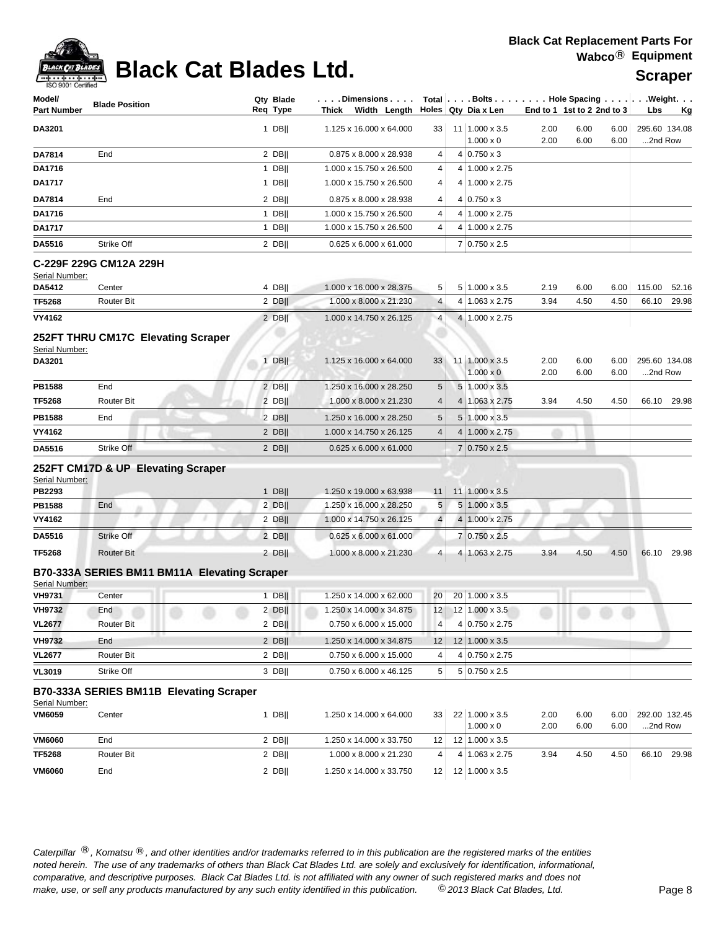

# **Black Cat Blades Ltd. Suppose Cat Blades Ltd.** Scraper

| Model/<br><b>Part Number</b> | <b>Blade Position</b>                        | Qty Blade<br>Reg Type | . Dimensions<br>Thick Width Length |                 | Holes Qty Dia x Len                | $Total   \ldots$ Bolts $\ldots   \ldots$ . Hole Spacing $\ldots   \ldots$ . Weight. $\ldots$<br>End to 1 1st to 2 2nd to 3 |              | Lbs<br>Kg                |
|------------------------------|----------------------------------------------|-----------------------|------------------------------------|-----------------|------------------------------------|----------------------------------------------------------------------------------------------------------------------------|--------------|--------------------------|
| DA3201                       |                                              | $1$ DB                | 1.125 x 16.000 x 64.000            | 33              | 11 1.000 x 3.5<br>$1.000 \times 0$ | 2.00<br>6.00<br>2.00<br>6.00                                                                                               | 6.00<br>6.00 | 295.60 134.08<br>2nd Row |
| DA7814                       | End                                          | $2$ DB                | 0.875 x 8.000 x 28.938             | 4               | $4 0.750 \times 3$                 |                                                                                                                            |              |                          |
| DA1716                       |                                              | $1$ DB                | 1.000 x 15.750 x 26.500            | 4               | 4 1.000 x 2.75                     |                                                                                                                            |              |                          |
| <b>DA1717</b>                |                                              | $1$ DB                | 1.000 x 15.750 x 26.500            | 4               | 4 1.000 x 2.75                     |                                                                                                                            |              |                          |
| DA7814                       | End                                          | $2$ DB                | 0.875 x 8.000 x 28.938             | 4               | $4 0.750 \times 3$                 |                                                                                                                            |              |                          |
| DA1716                       |                                              | $1$ DB                | 1.000 x 15.750 x 26.500            | 4               | 4 1.000 x 2.75                     |                                                                                                                            |              |                          |
| DA1717                       |                                              | 1 DB                  | 1.000 x 15.750 x 26.500            | 4               | 4 1.000 x 2.75                     |                                                                                                                            |              |                          |
| DA5516                       | Strike Off                                   | $2$ DB                | 0.625 x 6.000 x 61.000             |                 | 7 0.750 x 2.5                      |                                                                                                                            |              |                          |
| Serial Number:               | C-229F 229G CM12A 229H                       |                       |                                    |                 |                                    |                                                                                                                            |              |                          |
| DA5412                       | Center                                       | $4$ DB                | 1.000 x 16.000 x 28.375            | 5               | $5 1.000 \times 3.5$               | 2.19<br>6.00                                                                                                               | 6.00         | 115.00<br>52.16          |
| <b>TF5268</b>                | <b>Router Bit</b>                            | $2$ DB                | 1.000 x 8.000 x 21.230             | 4               | 4 1.063 x 2.75                     | 3.94<br>4.50                                                                                                               | 4.50         | 29.98<br>66.10           |
| <b>VY4162</b>                |                                              | 2 DBII                | 1.000 x 14.750 x 26.125            | $\overline{4}$  | 4 1.000 x 2.75                     |                                                                                                                            |              |                          |
| Serial Number:               | 252FT THRU CM17C Elevating Scraper           |                       |                                    |                 |                                    |                                                                                                                            |              |                          |
| DA3201                       |                                              | $1$ DB                | 1.125 x 16.000 x 64.000            | 33              | 11 1.000 x 3.5                     | 2.00<br>6.00                                                                                                               | 6.00         | 295.60 134.08            |
|                              |                                              |                       |                                    |                 | $1.000 \times 0$                   | 2.00<br>6.00                                                                                                               | 6.00         | 2nd Row                  |
| <b>PB1588</b>                | End                                          | 2 DB                  | 1.250 x 16.000 x 28.250            | 5               | $5 \mid 1.000 \times 3.5$          |                                                                                                                            |              |                          |
| <b>TF5268</b>                | <b>Router Bit</b>                            | 2 DB                  | 1.000 x 8.000 x 21.230             | 4               | 4 1.063 x 2.75                     | 3.94<br>4.50                                                                                                               | 4.50         | 66.10 29.98              |
| <b>PB1588</b>                | End                                          | 2 DBII                | 1.250 x 16.000 x 28.250            | 5               | $5 1.000 \times 3.5$               |                                                                                                                            |              |                          |
| VY4162                       |                                              | $2$ DB                | 1.000 x 14.750 x 26.125            | 4               | $4 1.000 \times 2.75$              |                                                                                                                            |              |                          |
| DA5516                       | Strike Off                                   | $2$ DB                | $0.625 \times 6.000 \times 61.000$ |                 | 7 0.750 x 2.5                      |                                                                                                                            |              |                          |
|                              | 252FT CM17D & UP Elevating Scraper           |                       |                                    |                 |                                    |                                                                                                                            |              |                          |
| Serial Number:<br>PB2293     |                                              | $1$ DB                | 1.250 x 19.000 x 63.938            | 11              | 11 1.000 x 3.5                     |                                                                                                                            |              |                          |
| PB1588                       | End                                          | $2$ DB                | 1.250 x 16.000 x 28.250            | 5               | $5 1.000 \times 3.5$               |                                                                                                                            |              |                          |
| VY4162                       |                                              | $2$ DB                | 1.000 x 14.750 x 26.125            | $\overline{4}$  | 4 1.000 x 2.75                     |                                                                                                                            |              |                          |
| DA5516                       | Strike Off                                   | $2$ DB                | $0.625 \times 6.000 \times 61.000$ |                 | 7 0.750 x 2.5                      |                                                                                                                            |              |                          |
| <b>TF5268</b>                | <b>Router Bit</b>                            | $2$ DB                | 1.000 x 8.000 x 21.230             | 4               | 4 1.063 x 2.75                     | 4.50<br>3.94                                                                                                               | 4.50         | 66.10<br>29.98           |
| Serial Number:               | B70-333A SERIES BM11 BM11A Elevating Scraper |                       |                                    |                 |                                    |                                                                                                                            |              |                          |
| <b>VH9731</b>                | Center                                       | $1$ DB                | 1.250 x 14.000 x 62.000            | 20 <sub>1</sub> | 20 1.000 x 3.5                     |                                                                                                                            |              |                          |
| <b>VH9732</b>                | End                                          | 2 DB                  | 1.250 x 14.000 x 34.875            | 12              | 12 1.000 x 3.5                     |                                                                                                                            |              |                          |
| <b>VL2677</b>                | <b>Router Bit</b>                            | $2$ DB                | 0.750 x 6.000 x 15.000             | 4               | 4 0.750 x 2.75                     |                                                                                                                            |              |                          |
| <b>VH9732</b>                | End                                          | 2 DB                  | 1.250 x 14.000 x 34.875            | 12              | 12 1.000 x 3.5                     |                                                                                                                            |              |                          |
| <b>VL2677</b>                | <b>Router Bit</b>                            | $2$ DB                | 0.750 x 6.000 x 15.000             | 4               | 4 0.750 x 2.75                     |                                                                                                                            |              |                          |
| <b>VL3019</b>                | Strike Off                                   | 3 DB                  | 0.750 x 6.000 x 46.125             | 5               | $5 0.750 \times 2.5$               |                                                                                                                            |              |                          |
| Serial Number:               | B70-333A SERIES BM11B Elevating Scraper      |                       |                                    |                 |                                    |                                                                                                                            |              |                          |
| <b>VM6059</b>                | Center                                       | $1$ DB                | 1.250 x 14.000 x 64.000            | 33 <sup>1</sup> | 22 1.000 x 3.5<br>$1.000 \times 0$ | 2.00<br>6.00<br>2.00<br>6.00                                                                                               | 6.00<br>6.00 | 292.00 132.45<br>2nd Row |
| <b>VM6060</b>                | End                                          | $2$ DB                | 1.250 x 14.000 x 33.750            | 12              | 12 1.000 x 3.5                     |                                                                                                                            |              |                          |
| <b>TF5268</b>                | Router Bit                                   | $2$ DB                | 1.000 x 8.000 x 21.230             | 4               | 4 1.063 x 2.75                     | 3.94<br>4.50                                                                                                               | 4.50         | 29.98<br>66.10           |
| <b>VM6060</b>                | End                                          | $2$ DB                | 1.250 x 14.000 x 33.750            | 12              | 12 1.000 x 3.5                     |                                                                                                                            |              |                          |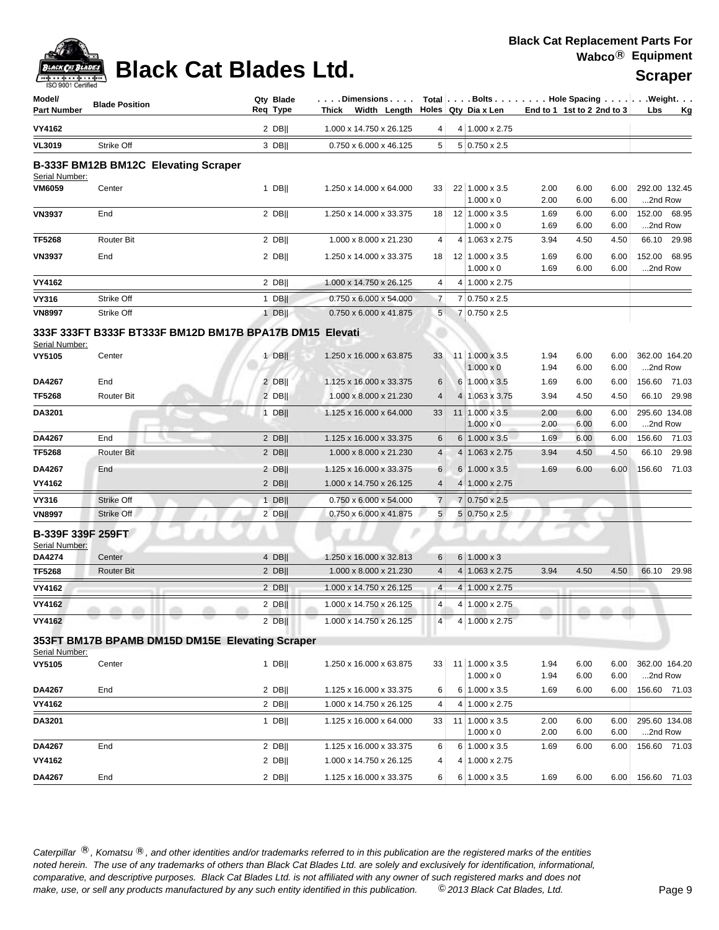| <b>Company</b><br><b>BLACK CAT BLADES</b><br>$ +  +  + $ | $\sim$                                         | <b>Black Cat Blades Ltd.</b>                            |                                                                                                    |                |                                        |                            |              |              | Wabco $\heartsuit$ Equipment<br><b>Scraper</b> |             |
|----------------------------------------------------------|------------------------------------------------|---------------------------------------------------------|----------------------------------------------------------------------------------------------------|----------------|----------------------------------------|----------------------------|--------------|--------------|------------------------------------------------|-------------|
| ISO 9001 Certified<br>Model/<br><b>Part Number</b>       | <b>Blade Position</b>                          | Qty Blade<br>Req Type                                   | Dimensions   $\tau$ otal   Bolts   Hole Spacing    Weight<br>Thick Width Length Holes Qty Diax Len |                |                                        | End to 1 1st to 2 2nd to 3 |              |              | <b>Lbs</b>                                     | Kg          |
| VY4162                                                   |                                                | $2$ DB                                                  | 1.000 x 14.750 x 26.125                                                                            | 4              | $4 1.000 \times 2.75$                  |                            |              |              |                                                |             |
| <b>VL3019</b>                                            | Strike Off                                     | 3 DBII                                                  | 0.750 x 6.000 x 46.125                                                                             | 5              | $5 0.750 \times 2.5$                   |                            |              |              |                                                |             |
| Serial Number:<br><b>VM6059</b>                          | B-333F BM12B BM12C Elevating Scraper<br>Center | $1$ DB                                                  | 1.250 x 14.000 x 64.000                                                                            | 33             | 22 1.000 x 3.5                         | 2.00                       | 6.00         | 6.00         | 292.00 132.45                                  |             |
|                                                          |                                                |                                                         |                                                                                                    |                | $1.000 \times 0$                       | 2.00                       | 6.00         | 6.00         | 2nd Row                                        |             |
| <b>VN3937</b>                                            | End                                            | 2 DBII                                                  | 1.250 x 14.000 x 33.375                                                                            | 18             | 12 1.000 x 3.5<br>$1.000 \times 0$     | 1.69<br>1.69               | 6.00<br>6.00 | 6.00<br>6.00 | 152.00 68.95<br>2nd Row                        |             |
| <b>TF5268</b>                                            | <b>Router Bit</b>                              | $2$ DB                                                  | 1.000 x 8.000 x 21.230                                                                             | 4              | 4 1.063 x 2.75                         | 3.94                       | 4.50         | 4.50         |                                                | 66.10 29.98 |
| <b>VN3937</b>                                            | End                                            | 2 DBII                                                  | 1.250 x 14.000 x 33.375                                                                            | 18             | 12 1.000 x 3.5<br>$1.000 \times 0$     | 1.69<br>1.69               | 6.00<br>6.00 | 6.00<br>6.00 | 152.00 68.95<br>2nd Row                        |             |
| VY4162                                                   |                                                | 2 DBII                                                  | 1.000 x 14.750 x 26.125                                                                            | 4              | 4 1.000 x 2.75                         |                            |              |              |                                                |             |
| <b>VY316</b>                                             | Strike Off                                     | 1 DBII                                                  | $0.750 \times 6.000 \times 54.000$                                                                 | $\overline{7}$ | 7 0.750 x 2.5                          |                            |              |              |                                                |             |
| <b>VN8997</b>                                            | Strike Off                                     | $1$ DB                                                  | 0.750 x 6.000 x 41.875                                                                             | 5              | 7 0.750 x 2.5                          |                            |              |              |                                                |             |
| Serial Number:                                           |                                                | 333F 333FT B333F BT333F BM12D BM17B BPA17B DM15 Elevati |                                                                                                    |                |                                        |                            |              |              |                                                |             |
| <b>VY5105</b>                                            | Center                                         | $1$ DB                                                  | 1.250 x 16.000 x 63.875                                                                            | 33             | 11 1.000 x 3.5<br>$1.000 \times 0$     | 1.94<br>1.94               | 6.00<br>6.00 | 6.00<br>6.00 | 362.00 164.20<br>2nd Row                       |             |
| DA4267                                                   | End                                            | 2 DBII                                                  | 1.125 x 16.000 x 33.375                                                                            | 6              | 6 1.000 x 3.5                          | 1.69                       | 6.00         | 6.00         | 156.60 71.03                                   |             |
| <b>TF5268</b>                                            | <b>Router Bit</b>                              | $2$ DB                                                  | 1.000 x 8.000 x 21.230                                                                             | $\overline{4}$ | 4 1.063 x 3.75                         | 3.94                       | 4.50         | 4.50         |                                                | 66.10 29.98 |
| <b>DA3201</b>                                            |                                                | $1$ DBII                                                | 1.125 x 16.000 x 64.000                                                                            | 33             | $11$   1.000 x 3.5<br>$1.000 \times 0$ | 2.00<br>2.00               | 6.00<br>6.00 | 6.00<br>6.00 | 295.60 134.08<br>2nd Row                       |             |
| DA4267                                                   | End                                            | 2 DBII                                                  | 1.125 x 16.000 x 33.375                                                                            | 6              | $6 1.000 \times 3.5$                   | 1.69                       | 6.00         | 6.00         | 156.60 71.03                                   |             |

| DA4267        | End               | 2 DBII      | 1.125 x 16.000 x 33.375            | 6 <sup>1</sup> | $6 1.000 \times 3.5$      | 1.69 | 6.00 | 6.00 | 156.60 71.03 |       |
|---------------|-------------------|-------------|------------------------------------|----------------|---------------------------|------|------|------|--------------|-------|
| TF5268        | Router Bit        | 2 DBII      | $1.000 \times 8.000 \times 21.230$ | 4 <sup>1</sup> | $4 1.063 \times 2.75$     | 3.94 | 4.50 | 4.50 | 66.10        | 29.98 |
| DA4267        | End               | 2 DBII      | 1.125 x 16.000 x 33.375            | 6 <sup>1</sup> | $6 \mid 1.000 \times 3.5$ | 1.69 | 6.00 | 6.00 | 156.60       | 71.03 |
| VY4162        |                   | 2 DBII      | 1.000 x 14.750 x 26.125            | 4 <sup>1</sup> | $4 1.000 \times 2.75$     |      |      |      |              |       |
| <b>VY316</b>  | Strike Off        | <b>DBII</b> | $0.750 \times 6.000 \times 54.000$ |                | $7 0.750 \times 2.5$      |      |      |      |              |       |
| <b>VN8997</b> | Strike Off        | 2 DBII      | $0.750 \times 6.000 \times 41.875$ |                | $5 0.750 \times 2.5 $     |      |      |      |              |       |
| _             | B-339F 339F 259FT |             |                                    |                |                           |      |      |      |              |       |

## **B-339F 339F 259FT**

| Serial Number: |                   |        |                                     |                |   |                         |      |      |      |       |       |
|----------------|-------------------|--------|-------------------------------------|----------------|---|-------------------------|------|------|------|-------|-------|
| <b>DA4274</b>  | Center            | 4 DB   | 1.250 x 16.000 x 32.813             | 6              |   | $6 \mid 1.000 \times 3$ |      |      |      |       |       |
| <b>TF5268</b>  | <b>Router Bit</b> | 2 DBII | 1.000 x 8.000 x 21.230              | 4              | 4 | 1.063 x 2.75            | 3.94 | 4.50 | 4.50 | 66.10 | 29.98 |
| VY4162         |                   | $2$ DB | $1.000 \times 14.750 \times 26.125$ | $\overline{4}$ | 4 | $1.000 \times 2.75$     |      |      |      |       |       |
| <b>VY4162</b>  |                   | $2$ DB | 1.000 x 14.750 x 26.125             | $\overline{4}$ |   | $1.000 \times 2.75$     |      |      |      |       |       |
| <b>VY4162</b>  |                   | $2$ DB | 1.000 x 14.750 x 26.125             | 4              |   | $1.000 \times 2.75$     |      |      |      |       |       |
|                |                   |        |                                     |                |   |                         |      |      |      |       |       |

## **353FT BM17B BPAMB DM15D DM15E Elevating Scraper**

| Serial Number: |        |        |                         |                 |      |                            |      |      |      |               |       |
|----------------|--------|--------|-------------------------|-----------------|------|----------------------------|------|------|------|---------------|-------|
| <b>VY5105</b>  | Center | DBII   | 1.250 x 16.000 x 63.875 | 33              |      | $11 \mid 1.000 \times 3.5$ | 1.94 | 6.00 | 6.00 | 362.00 164.20 |       |
|                |        |        |                         |                 |      | $1.000 \times 0$           | 1.94 | 6.00 | 6.00 | $$ 2nd Row    |       |
| <b>DA4267</b>  | End    | 2 DBII | 1.125 x 16.000 x 33.375 | 6 <sup>1</sup>  | 61   | $1.000 \times 3.5$         | 1.69 | 6.00 | 6.00 | 156.60        | 71.03 |
| <b>VY4162</b>  |        | 2 DBII | 1.000 x 14.750 x 26.125 | $\vert$         |      | 4 1.000 x 2.75             |      |      |      |               |       |
| <b>DA3201</b>  |        | DBII   | 1.125 x 16.000 x 64.000 | 33 <sup>1</sup> | 111. | $1.000 \times 3.5$         | 2.00 | 6.00 | 6.00 | 295.60 134.08 |       |
|                |        |        |                         |                 |      | $1.000 \times 0$           | 2.00 | 6.00 | 6.00 | 2nd Row       |       |
| <b>DA4267</b>  | End    | 2 DBII | 1.125 x 16.000 x 33.375 | $6 \mid$        |      | $6 1.000 \times 3.5$       | 1.69 | 6.00 | 6.00 | 156.60        | 71.03 |
| <b>VY4162</b>  |        | 2 DBII | 1.000 x 14.750 x 26.125 | $\vert$         |      | 4 1.000 x 2.75             |      |      |      |               |       |
| <b>DA4267</b>  | End    | 2 DBII | 1.125 x 16.000 x 33.375 | $6 \mid$        | 61   | $1.000 \times 3.5$         | 1.69 | 6.00 | 6.00 | 156.60        | 71.03 |
|                |        |        |                         |                 |      |                            |      |      |      |               |       |